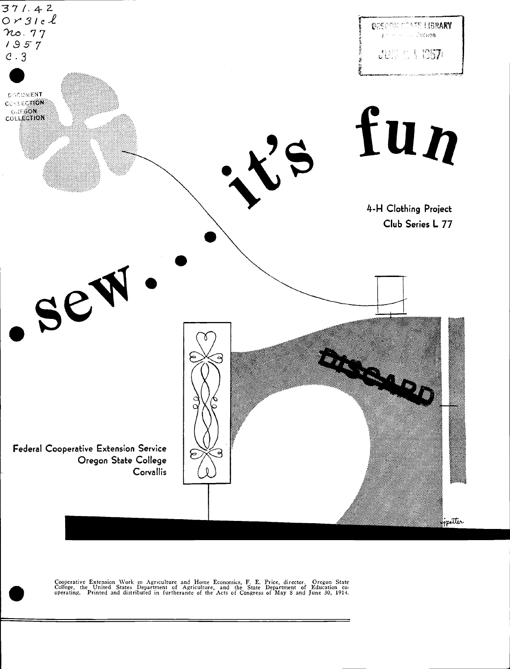

Cooperative Extension Work in Agriculture and Home Economics, F. E. Price, director. Oregon State College, the United States Department of Agriculture, and the State Department of Education cooperating. Printed and distrib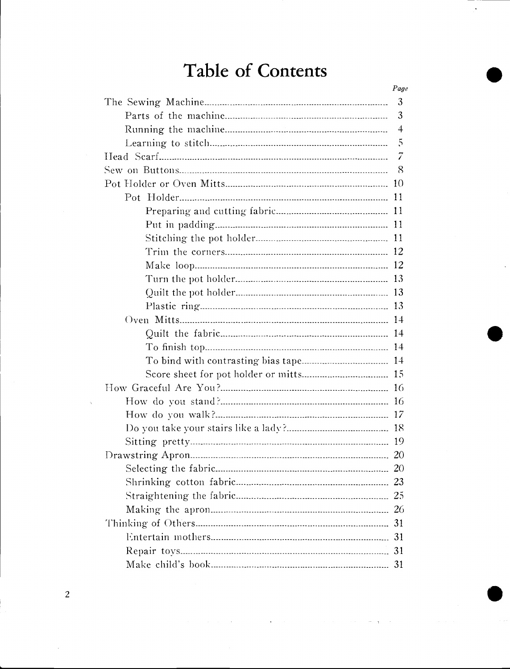## Table of Contents

| Page           |
|----------------|
| 3              |
| 3              |
| $\overline{4}$ |
| 5              |
| 7              |
| 8              |
|                |
|                |
|                |
|                |
|                |
|                |
|                |
|                |
|                |
|                |
|                |
|                |
|                |
|                |
|                |
|                |
|                |
|                |
|                |
|                |
|                |
| -20            |
|                |
|                |
|                |
|                |
|                |
|                |
| 31             |

 $\overline{c}$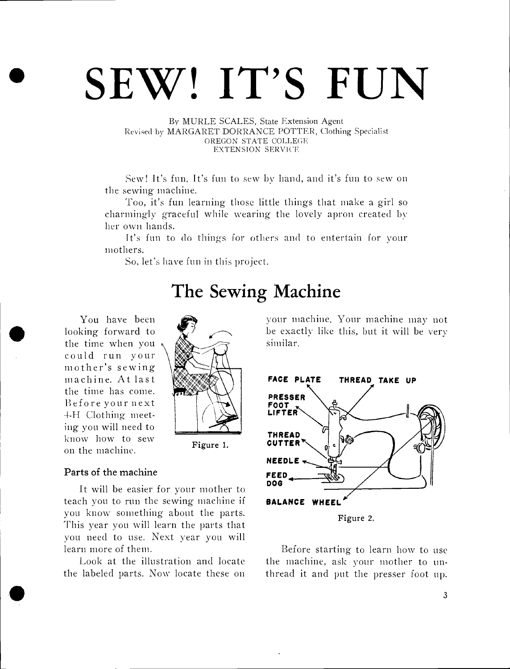# SEW! IT'S FUN

By MURLE SCALES, State Extension Agent Revised by MARGARET DORRANCE POTTER, Clothing Specialist OREGON STATE COLLEGE EXTENSION SERVICE

Sew! It's fun. It's fun to sew by hand, and it's fun to sew on the sewing machine.

Too, it's fun learning those little things that make a girl so charmingly graceful while wearing the lovely apron created by her own hands.

It's fun to do things for others and to entertain for your mothers.

So, let's have fun in this project.

### The Sewing Machine

You have been looking forward to the time when you could run your mother's sewing machine. At last the time has come. Before your next 4-H Clothing meeting you will need to know how to sew on the machine.



Figure 1.

#### Parts of the machine

It will he easier for your mother to teach you to run the sewing- machine if you know something about the parts. This year you will learn the parts that you need to use. Next year you will learn more of them.

Look at the illustration and locate the labeled parts. Now locate these on

your machine. Your machine may not be exactly like this, but it will be very similar.



Before starting to learn how to use the machine, ask your mother to unthread it and put the presser foot up.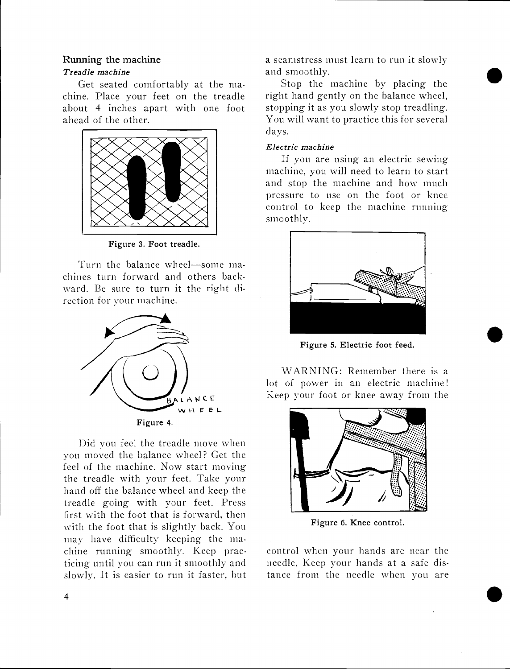#### Running the machine

#### Treadle machine

Get seated comfortably at the machine. Place your feet on the treadle about 4 inches apart with one foot ahead of the other.



Figure 3. Foot treadle.

Turn the balance wheel-some machines turn forward and others backward. Be sure to turn it the right direction for your machine.



Did you feel the treadle move when you moved the balance wheel? Get the feel of the machine. Now start moving the treadle with your feet. Take your hand off the balance wheel and keep the treadle going with your feet. Press first with the foot that is forward, then with the foot that is slightly back. You may have difficulty keeping- the machine running smoothly. Keep practicing until you can run it smoothly and slowly. It is easier to run it faster, but a seamstress must learn to run it slowly and smoothly.

Stop the machine by placing the right hand gently on the balance wheel, stopping it as you slowly stop treadling. You will want to practice this for several days.

#### Electric machine

If you are using an electric sewing machine, you will need to learn to start and stop the machine and how much pressure to use on the foot or knee control to keep the machine running smoothly.



Figure 5. Electric foot feed.

 $\bullet$ 

WARNING: Remember there is a lot of power in an electric machine! keep your foot or knee away from the



Figure 6. Knee control.

control when your hands are near the needle. Keep your hands at a safe distance from the needle when you are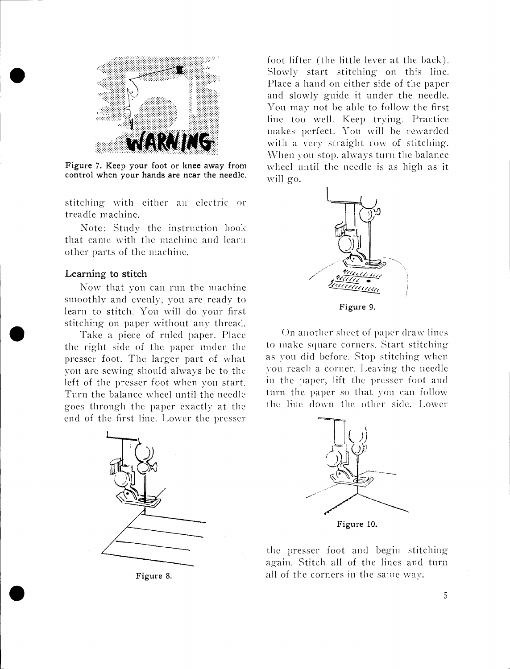

Figure 7. Keep your foot or knee away from control when your hands are near the needle.

stitching with either an electric or treadle machine.

Note: Study the instruction book that came with the machine and learn other parts of the machine.

#### Learning to stitch

Now that you can run the machine smoothly and evenly, you are ready to learn to stitch. You will do your first stitching on paper without any thread.

Take a piece of ruled paper. Place the right side of the paper under the presser foot. The larger part of what von arc sewing should always be to the left of the presser foot when you start. Turn the balance wheel until the needle goes through the paper exactly at the end of the first line. Lower the presser



Figure 8.

 $\bullet$  . The contract of  $\bullet$ 

foot lifter (the little lever at the hack). Slowly start stitching on this line. Place a hand on either side of the paper and slowly guide it under the needle. You may not he able to follow the first line too well. Keep trying. Practice makes perfect. You will he rewarded with a very straight row of stitching. \Vhen you stop, always turn the balance wheel until the needle is as high as it will go.



Figure 9.

On another sheet of paper draw lines to make square corners. Start stitching as you did before. Stop stitching when you reach a corner. I eaving the needle in the paper, lift the presser foot and turn the paper so that you can follow the line down the other side. Lower



the presser foot and begin stitching again Stitch all of the lines and turn all of the corners in the same way.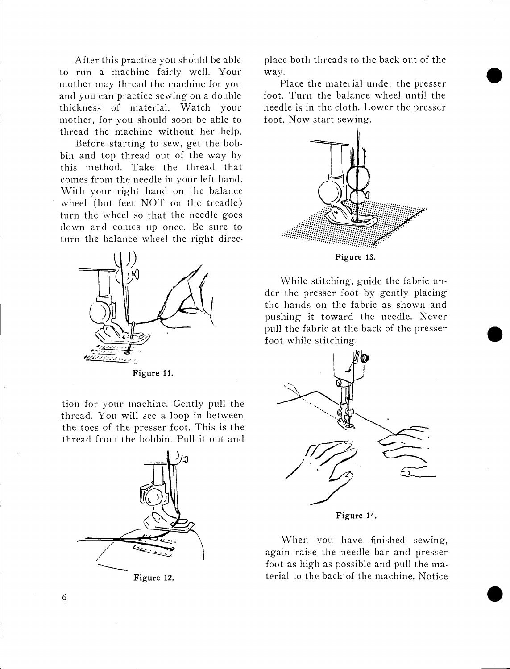After this practice you should be able to run a machine fairly well. Your mother may thread the machine for you and you can practice sewing on a double thickness of material. Watch your mother, for you should soon be able to thread the machine without her help.

Before starting to sew, get the bobbin and top thread out of the way by this method. Take the thread that comes from the needle in your left hand. With your right hand on the balance wheel (but feet NOT on the treadle) turn the wheel so that the needle goes down and comes up once. Be sure to turn the balance wheel the right direc-



Figure 11.

tion for your machine. Gently pull the thread. You will see a loop in between the toes of the presser foot. This is the thread from the bobbin. Pull it out and



Figure 12.

place both threads to the back out of the way.

Place the material under the presser foot. Turn the balance wheel until the needle is in the cloth. Lower the presser foot. Now start sewing.



Figure 13.

While stitching, guide the fabric under the presser foot by gently placing the hands on the fabric as shown and pushing it toward the needle. Never pull the fabric at the back of the presser foot while stitching.



When you have finished sewing, again raise the needle bar and presser foot as high as possible and pull the material to the hack of the machine. Notice

 $\bullet$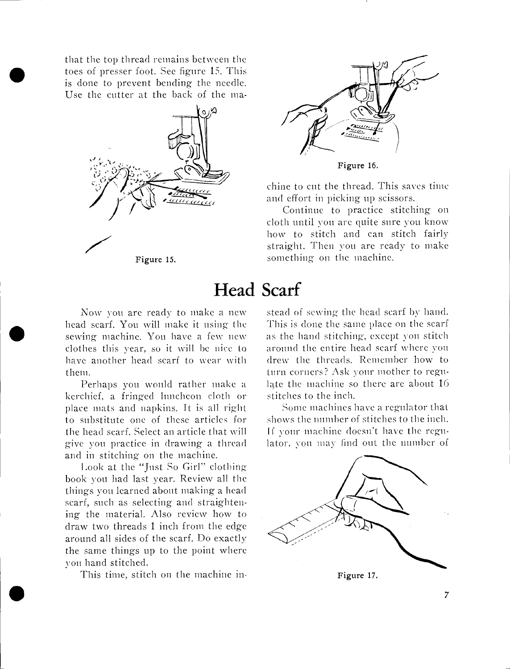toes of presser foot. See figure 15. This<br>is done to prevent bending the needle. that the top thread remains between the is done to prevent bending the needle. Use the cutter at the back of the ma-





Figure 16.

chine to cut the thread. This saves time and effort in picking up scissors.

Continue to practice stitching on cloth until you are quite sure you know how to stitch and can stitch fairly straight. Then you are ready to make something on the machine.

### Head Scarf

head scart. You will make it using the 1 his is done<br>sewing machine. You have a few new as the hand Now you are ready to make a new head scarf. You will make it using the clothes this year, so it will be nice to have another head scarf to wear with them.

> Perhaps you would rather make a kerchief, a fringed luncheon cloth or place mats and napkins. It is all right to substitute one of these articles for the head scarf. Select an article that vill give you practice in drawing a thread and in stitching on the machine.

> Look at the "Just So Girl" clothing book von had last year. Review all the things you learned about making a head scarf, such as selecting and straightening the material. Also review how to draw two threads 1 inch from the edge around all sides of the scarf. Do exactly the same things up to the point where you hand stitched.

This time, stitch on the machine in-

stead of sewing the head scarf by hand. This is done the same place on the scarf as the hard stitching, except von stitch around the entire head scarf where you drew the threads. Remember how to turn corners? Ask your mother to regulate the machine so there are about 16 stitches to the inch.

Some machines have a regulator that shows the number of stitches to the inch. If your machine doesn't have the regulator, you may find out the number of

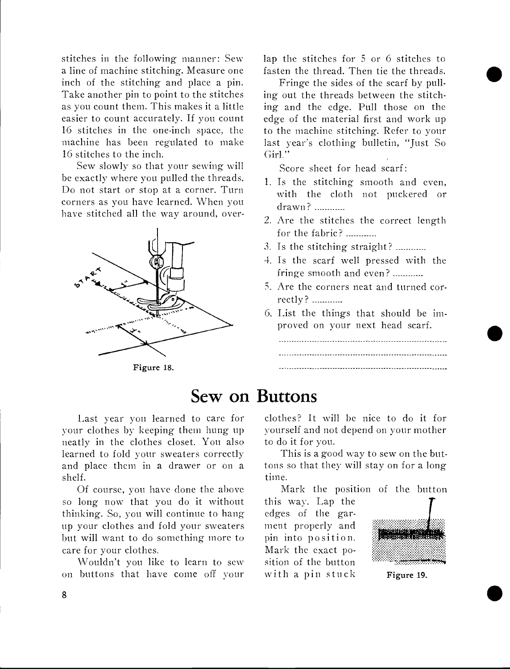stitches in the following manner: Sew a line of machine stitching. Measure one inch of the stitching and place a pin. Take another pin to point to the stitches as you count them. This makes it a little easier to count accurately. If you count 16 stitches in the one-inch space, the machine has been regulated to make 16 stitches to the inch.

Sew slowly so that your sewing will be exactly where you pulled the threads. Do not start or stop at a corner. Turn corners as you have learned. When you have stitched all the way around, over-



Figure 18.

lap the stitches for 5 or 6 stitches to fasten the thread. Then tie the threads.

Fringe the sides of the scarf by pulling out the threads between the stitching and the edge. Pull those on the edge of the material first and work up to the machine stitching. Refer to your last year's clothing bulletin, "Just So Girl."

Score sheet for head scarf:

- 1. Is the stitching smooth and even, with the cloth not puckered or drawn?
- 2. Are the stitches the correct length for the fabric?
- 3. Is the stitching straight? ............
- 4. Is the scarf well pressed with the fringe smooth and even? ............
- 5. Are the corners neat and turned correctly?
- 6. List the things that should be improved on your next head scarf.

### Sew on Buttons

Last year you learned to care for your clothes by keeping them hung up neatly in the clothes closet. You also learned to fold your sweaters correctly and place them in a drawer or on a shelf.

Of course, you have done the above so long now that you do it without thinking. So, you will continue to hang up your clothes and fold your sweaters but will want to do something more to care for your clothes.

Wouldn't you like to learn to sew on buttons that have come off your clothes? it will be nice to do it for yourself and not depend on your mother to do it for you.

This is a good way to sew on the buttons so that they will stay on for a long time.

Mark the position of the button

this way. Lap the edges of the garment properly and pin into position. Mark the exact position of the button with a pin stuck Figure 19.



 $\bullet$ 

 $\overline{\mathbf{8}}$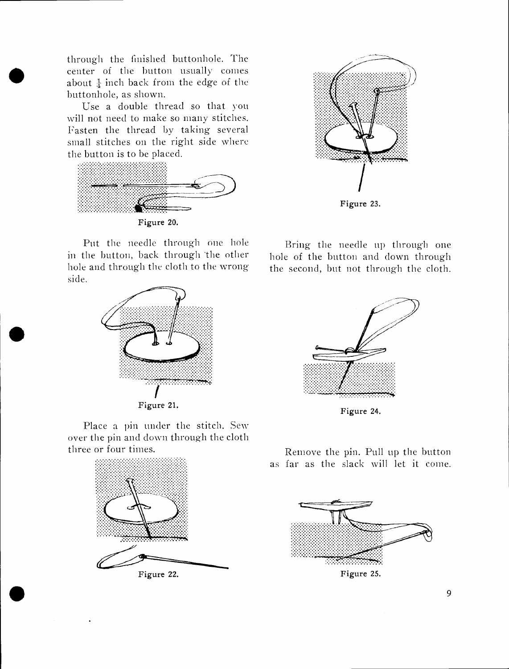through the finished buttonhole. The through the finished button hole. The<br>
center of the button usually comes<br>
about  $\frac{1}{4}$  inch back from the edge of the about  $\frac{1}{4}$  inch back from the edge of the buttonhole, as shown.

> Use a double thread so that you will not need to make so many stitches. Fasten the thread by taking several small stitches on the right side where the button is to be placed.



Figure 23.

Put the needle through one hole in the button, back through the other hole and through the cloth to the wrong side.



Place a pin under the stitch. Sew over the pin and down through the cloth three or four times.





 $\bullet$  . The contract of  $\bullet$ 

Bring the needle up through one hole of the button and down through the second, but not through the cloth.



Figure 24.

Remove the pin. Pull up the button as far as the slack will let it come.



Figure 25.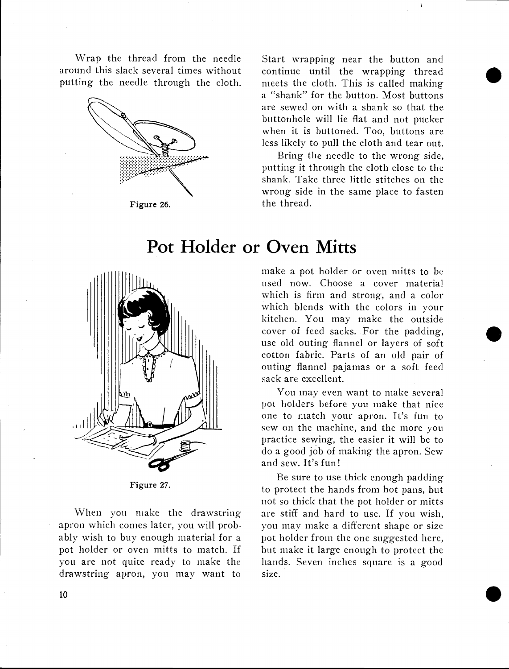Wrap the thread from the needle around this slack several times without putting the needle through the cloth.



Figure 26.

Start wrapping near the button and continue until the wrapping thread meets the cloth. This is called making a "shank" for the button. Most buttons are sewed on with a shank so that the buttonhole will lie flat and not pucker when it is buttoned. Too, buttons are less likely to pull the cloth and tear out.

 $\bullet$ 

Bring the needle to the wrong side, putting it through the cloth close to the shank. Take three little stitches on the wrong side in the same place to fasten the thread.



Figure 27.

When you make the drawstring apron which conies later, you will probably wish to buy enough material for a pot holder or oven mitts to match. If you are not quite ready to make the drawstring apron, you may want to

### Pot Holder or Oven Mitts

make a pot holder or oven mitts to be used now. Choose a cover material which is firm and strong, and a color which blends with the colors in your kitchen. You may make the outside cover of feed sacks. For the padding, use old outing flannel or layers of soft cotton fabric. Parts of an old pair of outing flannel pajamas or a soft feed sack are excellent.

You may even want to make several pot holders before you make that nice one to match your apron. It's fun to sew on the machine, and the more you practice sewing, the easier it will be to do a good job of making the apron. Sew and sew. It's fun!

Be sure to use thick enough padding to protect the hands from hot pans, but not so thick that the pot holder or mitts are stiff and hard to use. If you wish, you may make a different shape or size pot holder from the one suggested here, but make it large enough to protect the hands. Seven inches square is a good size.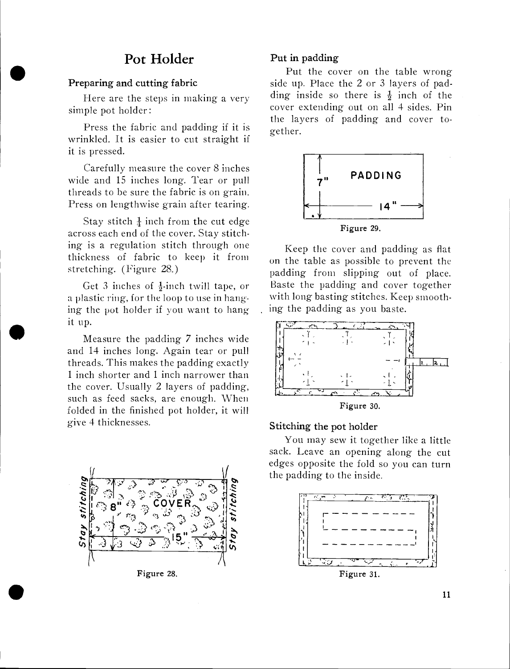### Pot Holder

### $\bullet$  Pret Preparing and cutting fabric

Here are the steps in making a very simple pot holder:

Press the fabric and padding if it is wrinkled. It is easier to cut straight if it is pressed.

Carefully measure the cover 8 inches wide and 15 inches long. Tear or pull threads to be sure the fabric is on grain. Press on lengthwise grain after tearing.

Stay stitch  $\frac{1}{4}$  inch from the cut edge across each end of the cover. Stay stitching is a regulation stitch through one thickness of fabric to keep it from stretching. (Figure 28)

Get 3 inches of  $\frac{1}{2}$ -inch twill tape, or a plastic ring, for the loop to use in hanging the pot holder if you want to hang it up.

It up.<br>Measure the padding 7 inches wide and 14 inches long. Again tear or pull threads. This makes the padding exactly 1 inch shorter and 1 inch narrower than the cover. Usually 2 layers of padding, such as feed sacks, are enough. When folded in the finished pot holder, it will give 4 thicknesses.



Figure 28.

 $\bullet$  . The contract of  $\bullet$ 

#### Put in padding

Put the cover on the table wrong side up. Place the 2 or 3 layers of padding inside so there is  $\frac{1}{2}$  inch of the cover extending out on all 4 sides. Pin the layers of padding and cover together.



Keep the cover and padding as flat on the table as possible to prevent the padding froni slipping out of place. Baste the padding and cover together with long basting stitches. Keep smoothing the padding as you baste.



#### Stitching the pot holder

You may sew it together like a little sack. Leave an opening along the cut edges opposite the fold so you can turn the padding to the inside.

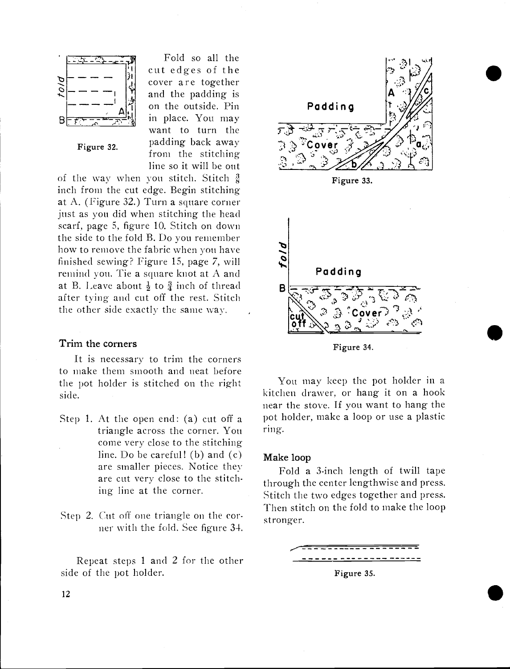

Fold so all the cut edges of the cover are together and the padding is on the outside. Pin in place. You may want to turn the Figure 32. padding back away from the stitching line so it will be out

of the way when you stitch. Stitch  $\frac{3}{8}$ inch from the cut edge. Begin stitching at A. (Figure 32.) Turn a square corner just as you did when stitching the head scarf, page 5, figure 10. Stitch on down the side to the fold B. Do you remember how to remove the fabric when you have finished sewing? Figure 15, page 7, will remind von. Tie a square knot at A and at B. Leave about  $\frac{1}{2}$  to  $\frac{3}{4}$  inch of thread after tying and cut off the rest. Stitch the other side exactly the same way.

#### Trim the corners

It is necessary to trim the corners to make them sniooth and neat before the pot holder is stitched on the right side.

- Step 1. At the open end: (a) cut off a triangle across the corner. You come very close to the stitching line. Do be careful! (b) and (c) are smaller pieces. Notice they are cut very close to the stitch. ing line at the corner.
- Step 2. Cut off one triangle on the corner with the fold. See figure 34.

Repeat steps 1 and 2 for the other side of the pot holder.



 $\bullet$ 

 $\bullet$ 

 $\bullet$ 



You may keep the pot holder in a kitchen drawer, or hang it on a hook near the stove. If you want to hang the pot holder, make a loop or use a plastic ring.

#### Make ioop

Fold a 3-inch length of twill tape through the center lengthwise and press. Stitch the two edges together and press. Then stitch on the fold to make the loop stronger.

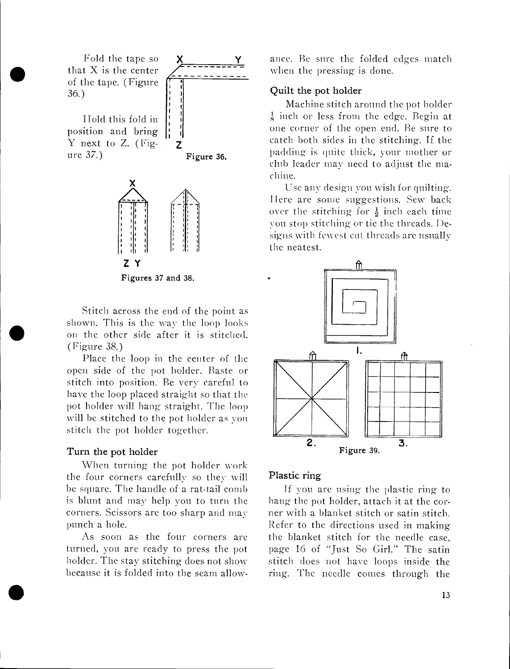flat<br>that<br>of tl Fold the tape so that X is the center of the tape. (Figure <sup>f</sup> 36.)

> ITold this fold in position and bring Y next to Z. (Fig.  $\frac{1}{2}$  z





Figures 37 and 38.

shown. This is the way the loop looks<br>on the other side after it is stitched.<br>(Figure 38) Stitch across the end of the point as shown. This is the way the loop looks (Figure 38.)

> Place the loop in the center of the open side of the pot holder. Baste or stitch into position. Be very careful to have the loop placed straight so that the pot holder will hang straight. The loop will be stitched to the pot holder as you. stitch the pot holder together.

#### Turn the pot holder

 $\bullet$  . The contract of  $\bullet$ 

When turning the pot holder work the four corners carefully so they will he square. The handle of a rat-tail comb is blunt and may help you to turn the corners. Scissors are too sharp and may punch a hole.

As soon as the four corners are turned, you are ready to press the pot holder. The stay stitching does not show because it is folded into the seam allowance. Be sure the folded edges match when the pressing is done.

#### Quilt the pot holder

Machine stitch around the pot holder  $\frac{1}{8}$  inch or less from the edge. Begin at one corner of the open end. Be sure to catch both sides in the stitching. If the padding is quite thick, your mother or club leader may need to adjust the machine.

Use any design you wish for quilting. Ilere are some suggestions. Sew back over the stitching for  $\frac{1}{2}$  inch each time von stop stitching or tie the threads. Designs with fewest cut threads are usually the neatest.



#### Plastic ring

If you are using the plastic ring to hang the pot holder, attach it at the corner with a blanket stitch or satin stitch. Refer to the directions used in making the blanket stitch for the needle case, page 16 of "Just So Girl." The satin stitch does not have loops inside the ring. The needle comes through the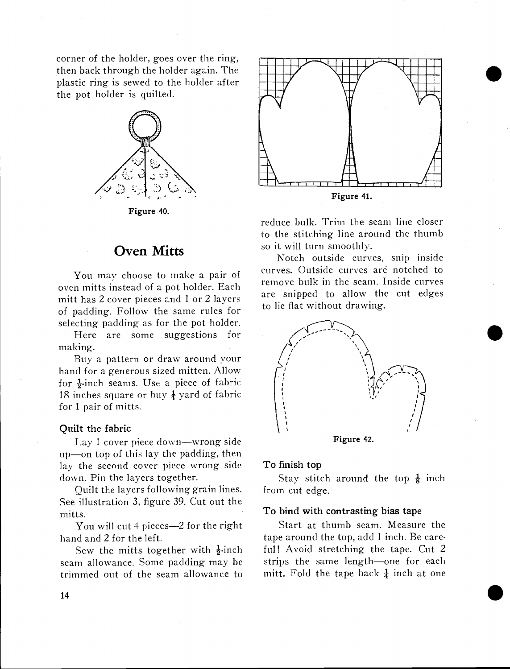corner of the holder, goes over the ring, then back through the holder again. The plastic ring is sewed to the holder after the pot holder is quilted.



Figure 40.

### Oven Mitts

You may choose to make a pair of oven mitts instead of a pot holder. Each mitt has 2 cover pieces and 1 or 2 layers of padding. Follow the same rules for selecting padding as for the pot holder.

Here are some suggestions for making.

Buy a pattern or draw around your hand for a generous sized mitten. Allow for  $\frac{1}{2}$ -inch seams. Use a piece of fabric 18 inches square or buy  $\frac{1}{4}$  yard of fabric for 1 pair of mitts.

#### Quilt the fabric

Lay 1 cover piece down—wrong side  $up$ —on top of this lay the padding, then lay the second cover piece wrong side down. Pin the layers together.

Quilt the layers following grain lines. See illustration 3, figure 39. Cut out the mitts.

You will cut 4 pieces—2 for the right hand and 2 for the left.

Sew the mitts together with  $\frac{1}{2}$ -inch seam allowance. Some padding may be trimmed out of the seam allowance to



 $\bullet$ 

reduce bulk. Trim the seam line closer to the stitching line around the thumb so it will turn smoothly.

Notch outside curves, snip inside curves. Outside curves are notched to remove bulk in the seam. Inside curves are snipped to allow the cut edges to lie flat without drawing.



#### To finish top

Stay stitch around the top  $\frac{1}{8}$  inch from cut edge.

#### To bind with contrasting bias tape

Start at thumb seam. Measure the tape around the top, add 1 inch. Be careful! Avoid stretching the tape. Cut 2 strips the same length-one for each mitt. Fold the tape back  $\frac{1}{4}$  inch at one

 $\bullet$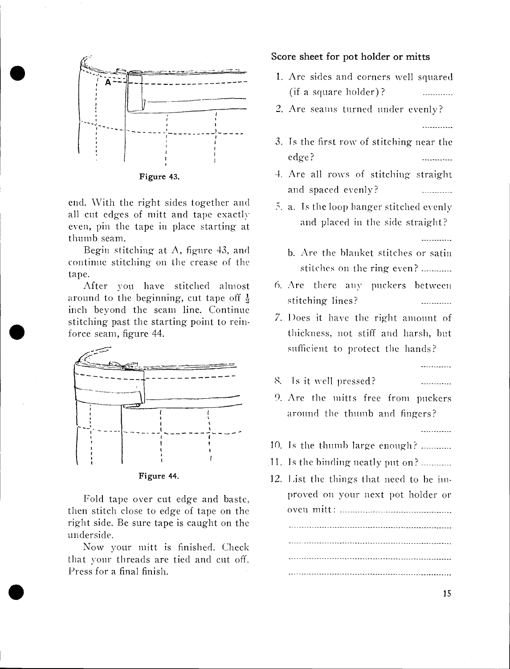

Figure 43.

end. With the right sides together and all cut edges of mitt and tape exactly even, pin the tape in place starting at thumb seam.

Begin stitching at  $\Lambda$ , figure 43, and continue stitching on the crease of the tape.

After you have stitched almost around to the beginning, cut tape off  $\frac{1}{2}$ inch beyond the seam line. Continue stitching past the starting point to reinforce seam, figure 44.



Figure 44.

Fold tape over cut edge and baste, then stitch close to edge of tape on the right side. Be sure tape is caught on the underside.

Now your mitt is finished. Check that your threads are tied and cut off. Press for a final finish.

 $\bullet$  International contract  $\bullet$ 

Score sheet for pot holder or mitts

- 1. Are sides and corners well squared (if a square holder)?
- 2. Are seams turned under evenly?

3. Is the first row of stitching near the edge? **Contract Contract** 

<u>. . . . . . . . . . . .</u>

. . . . . . . . . . . .

. . . . . . . . . . . .

- 4. Are all rows of stitching straight and spaced evenly?
- $\overline{5}$ . a. Is the loop hanger stitched evenly and placed in the side straight?
	- h. Are the blanket stitches or satin stitches on the ring even?
- 6. Are there aiiv puckers between stitching lines? . . . . . . . . . . . . .
- 7. Does it have the right amount of thickness, not stiff and harsh, but sufficient to protect the hands?
- . Is it well pressed?
- 9. Are the mitts free from puckers around the thumb and fingers?
- 10. Is the thumb large enough? .............
- $11.$  Is the binding neatly put on? ............
- 12. List the things that need to be improved on your next pot holder or oven mitt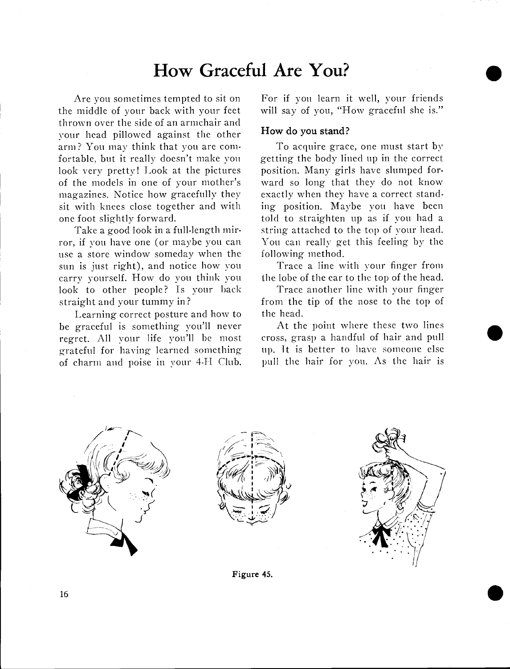### How Graceful Are You?

Are you sometimes tempted to sit on the middle of your back with your feet thrown over the side of an armchair and your head pillowed against the other arm? You may think that you are comfortable, but it really doesn't make von look very pretty! Look at the pictures of the models in one of your mother's magazines. Notice how gracefully they sit with knees close together and with one foot slightly forward.

Take a good look in a full-length mirror, if von have one (or maybe you can use a store window someday when the sun is just right), and notice how you carry yourself. How do you think von look to other people? Is your back straight and your tummy in?

Learning correct posture and how to be graceful is something you'll never regret. All your life you'll be most grateful for having learned something of charm and poise in your 4-IT Club. For if you learn it well, your friends will say of you, "How graceful she is."

 $\bullet$ 

 $\bullet$ 

#### How do you stand?

To acquire grace, one must start by getting the body lined up in the correct position. Many girls have slumped forward so long that they do not know exactly when they have a correct standing position. Maybe you have been told to straighten up as if you had a string attached to the top of your head. You can really get this feeling by the following method.

Trace a line with your finger from the lobe of the ear to the top of the head.

Trace another line with your finger from the tip of the nose to the top of the head.

At the point where these two lines cross, grasp a handful of hair and pull up. it is better to have someone else pull the hair for you. As the hair is







Figure 45.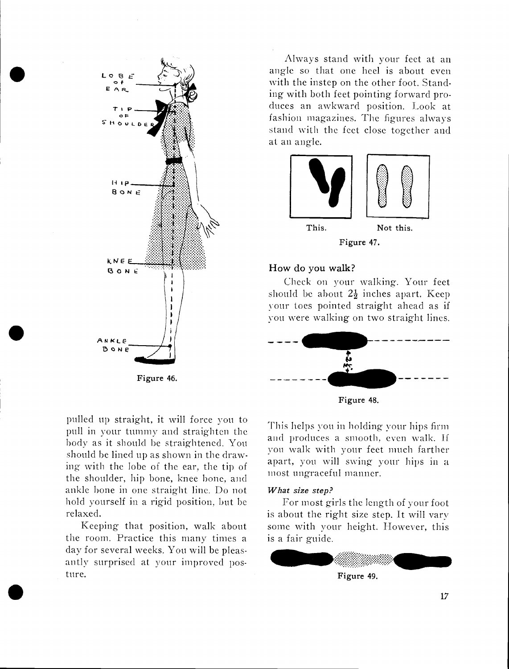

Always stand with your feet at an angle so that one heel is about even with the instep on the other foot. Standing with both feet pointing forward produces an awkward position. Look at fashion magazines. The figures always stand with the feet close together and at an angle.



#### How do you walk?

Check on your walking. Your feet should be about  $2\frac{1}{2}$  inches apart. Keep your toes pointed straight ahead as if you were walking on two straight lines.



Figure 48.

This helps you in holding vour hips firm and produces a smooth, even walk. If von walk with your feet much farther apart, you will swing your hips in a most ungraceful manner.

#### What size step?

For most girls the length of your foot is about the right size step. It will vary some with your height. However, this is a fair guide.



pulled up straight, it will force you to Pull in your tummy and straighten the body as it should be straightened. You should be lined up as shown in the draw. big with the lobe of the ear, the tip of the shoulder, hip bone, knee bone, and ankle hone in one straight line. Do not hold yourself in a rigid position, but be relaxed.

Keeping that position, walk about the room. Practice this many times a day for several weeks. You will he pleasantiv surprised at your improved posture.

 $\bullet$  such that  $\bullet$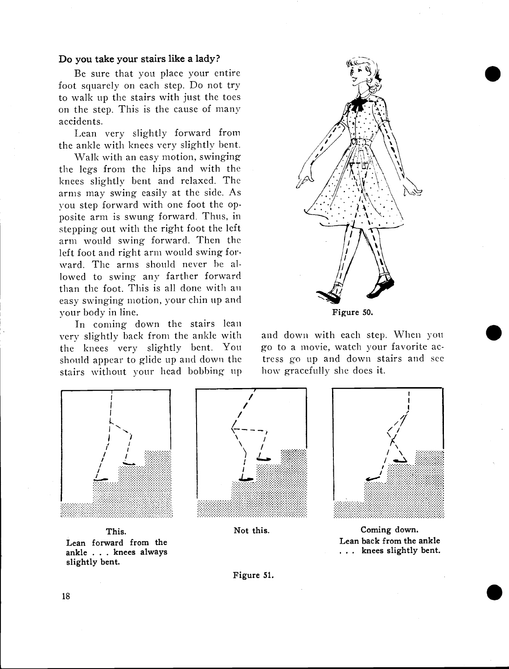#### Do you take your stairs like a lady?

Be sure that you place your entire foot squarely on each step. Do not try to walk up the stairs with just the toes on the step. This is the cause of many accidents.

Lean very slightly forward from the ankle with knees very slightly bent.

Walk with an easy motion, swinging the legs from the hips and with the knees slightly bent and relaxed. The arms may swing easily at the side. As you step forward with one foot the opposite arm is swung forward. Thus, in stepping out with the right foot the left arm would swing forward. Then the left foot and right arm would swing forward. The arms should never he allowed to swing any farther forward than the foot. This is all done with an easy swinging motion, your chin up and your body in line.

In coming down the stairs lean very slightly back from the ankle with the knees very slightly bent. You should appear to glide up and down the stairs without your head bobbing up



 $\bullet$ 

 $\bullet$ 

Figure 50.

and down with each step. When you go to a movie, watch your favorite actress go up and down stairs and see how gracefully she does it.



This. Lean forward from the ankle . . . knees always slightly bent.



Not this.



Coming down. Lean back from the ankle ... knees slightly bent.

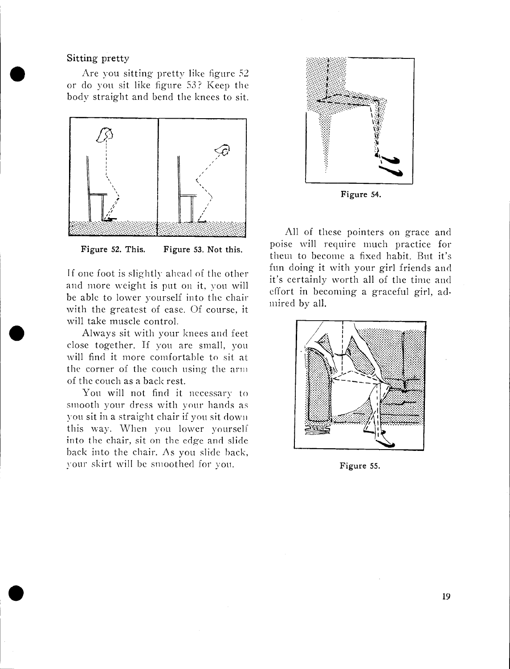#### Sitting pretty

Solution and the set of the set of the set of the set of the set of the set of the set of the set of the set of the set of the set of the set of the set of the set of the set of the set of the set of the set of the set of Are you sitting pretty like figure 52 body straight and bend the knees to sit.



Figure 52. This. Figure 53. Not this.

If one foot is slightly ahead of the other and more weight is put on it, you will be able to lower yourself into the chair with the greatest of ease. Of course, it will take muscle control.

Always sit with your knees and feet close together. If you are small, you will find it more comfortable to sit at the corner of the couch using the arm of the couch as a back rest.

You will not find it necessary to smooth your dress with your hands as von sit in a straight chair if you sit down this way. When you lower yourself into the chair, sit on the edge and slide back into the chair. As you slide hack, your skirt will be smoothed for you.



Figure 54.

All of these pointers on grace and poise will require much practice for them to become a fixed habit. But it's fun doing it with your girl friends and it's certainly worth all of the time and effort in becoming a graceful girl, admired by all.



Figure 55.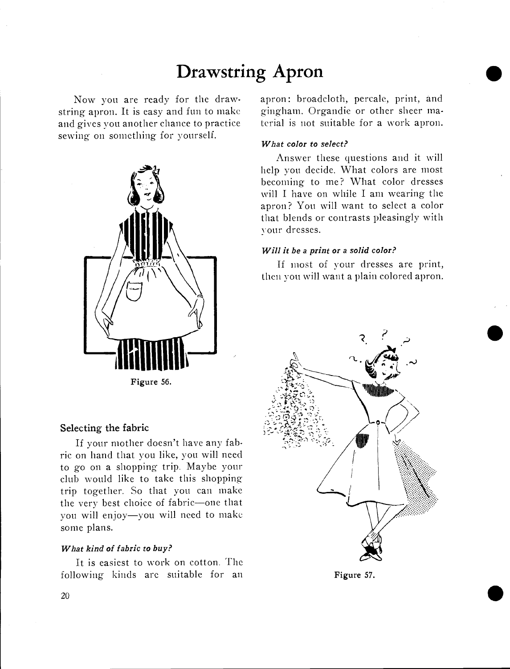### Drawstring Apron

Now you are ready for the drawstring apron. It is easy and fun to make and gives you another chance to practice sewing on something for yourself.



Figure 56.

#### Selecting the fabric

If your mother doesn't have any fabric on hand that you like, you will need to go on a shopping trip. Maybe your club would like to take this shopping trip together. So that you can make the very best choice of fabric-one that you will enjoy-you will need to make some plans.

#### What kind of fabric to buy?

It is easiest to work on cotton. The following kinds arc suitable for an apron: broadcloth, percale, print, and gingham. Organdie or other sheer material is not suitable for a work apron.  $\bullet$ 

 $\bullet$ 

#### What color to select?

Answer these questions and it will help you decide. What colors are most becoming to me? What color dresses will I have on while I am wearing the apron? You will want to select a color that blends or contrasts pleasingly with your dresses.

#### Will it be a print or a solid color?

If most of your dresses are print, then von will want a plain colored apron.



Figure 57.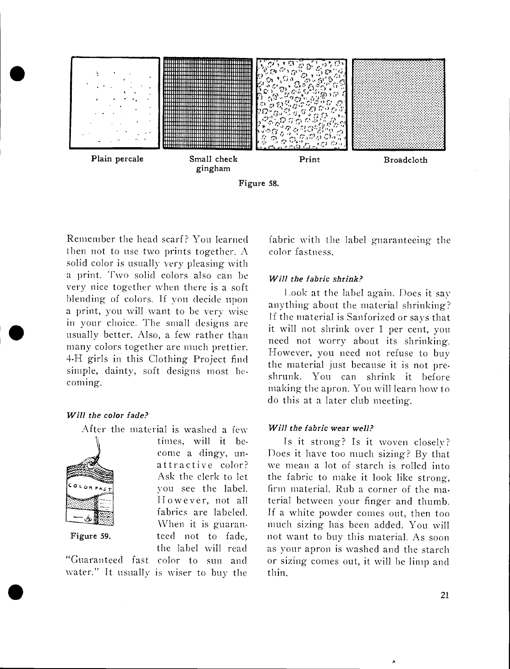

Figure 58.

In your choice. The small designs are<br>usually better. Also, a few rather than<br>many colors together are much prettion Remember the head scarf? You learned then not to use two prints together. A solid color is usually very pleasing with a print. Two solid colors also can be very nice together when there is a soft blending of colors. If you decide upon a print, you will want to be very wise in your choice. The small designs are the material is samorized of says that many colors together are much prettier. 4-H girls in this Clothing Project find simple, dainty, soft designs most becoming.

#### Will the color fade?



After the material is washed a few times, will it become a dingy, un-<br>attractive color? Ask the clerk to let  $\overline{\text{c}_{\text{other}}$  vou see the label. However, not all fabrics are labeled. When it is guaran-Figure 59. teed not to fade. the label will read

"Guaranteed fast color to sun and water." It usually is wiser to buy the fabric with the label guaranteeing the color fastness.

#### Will the fabric shrink?

Look at the label again. Does it say anything- about the material shrinking? If the material is Sanforized or says that need not worry about its shrinking. However, you need not refuse to buy the material just because it is not preshrunk. You can shrink it before making the apron. You will learn how to do this at a later club meeting.

#### Will the fabric wear well?

Is it strong? Is it woven closely? Does it have too much sizing? By that we mean a lot of starch is rolled into the fabric to make it look like strong, firm material. Rub a corner of the material between your finger and thumb. If a white powder comes out, then too much sizing has been added. You will not want to buy this material. As soon as your apron is washed and the starch or sizing comes out, it will be limp and thin.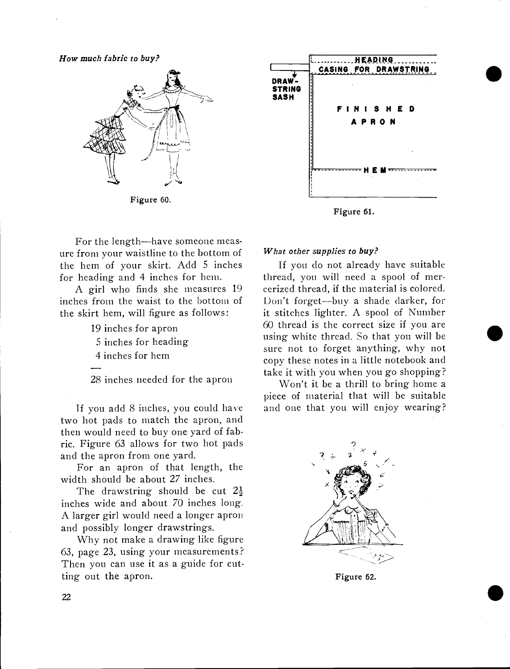How much fabric to buy?



Figure 60.

For the length-have someone measure from your waistline to the bottom of the hem of your skirt. Add 5 inches for heading and 4 inches for hem.

A girl who finds she measures 19 inches from the waist to the bottom of the skirt hem, will figure as follows:

- 19 inches for apron
- 5 inches for heading
- 4 inches for hem

28 inches needed for the apron

Tf you add 8 inches, you could have two hot pads to match the apron, and then would need to buy one yard of fabric. Figure 63 allows for two hot pads and the apron from one yard.

For an apron of that length, the width should be about 27 inches.

The drawstring should be cut  $2\frac{1}{2}$ inches wide and about 70 inches long. A larger girl would need a longer apron and possibly longer drawstrings.

Why not make a drawing like figure 63, page 23, using your measurements? Then you can use it as a guide for cutting out the apron.



 $\bullet$ 

 $\bullet$ 

 $\bullet$ 

Figure 61.

#### What other supplies to buy?

If you do not already have suitable thread, you will need a spool of mercerized thread, if the material is colored. Don't forget-buy a shade darker, for it stitches lighter. A spool of Number 60 thread is the correct size if you are using white thread. So that you will be sure not to forget anything, why not copy these notes in a little notebook and take it with you when you go shopping?

Won't it be a thrill to bring home a piece of material that will be suitable and one that you will enjoy wearing?



Figure 62.

22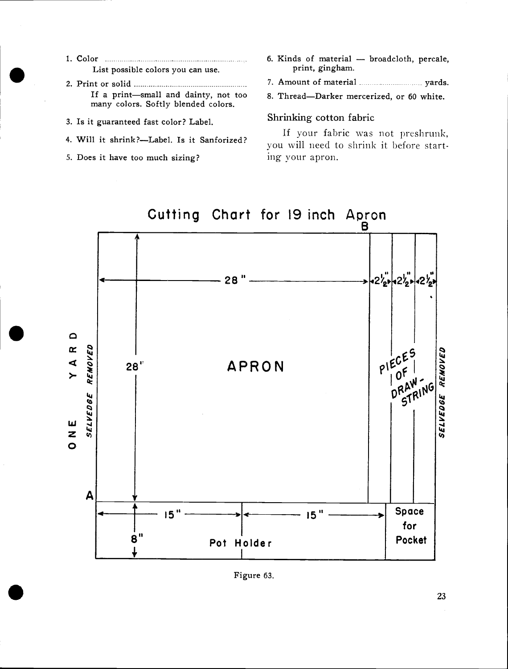- 1. Color List possible colors you can use.
- 2. Print or solid If a print—small and dainty, not too many colors. Softly blended colors.
- 3. Is it guaranteed fast color? Label.
- 4. Will it shrink?-Label. Is it Sanforized?
- 5. Does it have too much sizing?
- 6. Kinds of material broadcloth, percale, print, gingham.
- 7. Amount of material ------------------------------ yards.
- 8. Thread-Darker mercerized, or 60 white.

#### Shrinking cotton fabric

If your fabric was not preshrunk, you will need to shrink it before starting your apron.





Figure 63.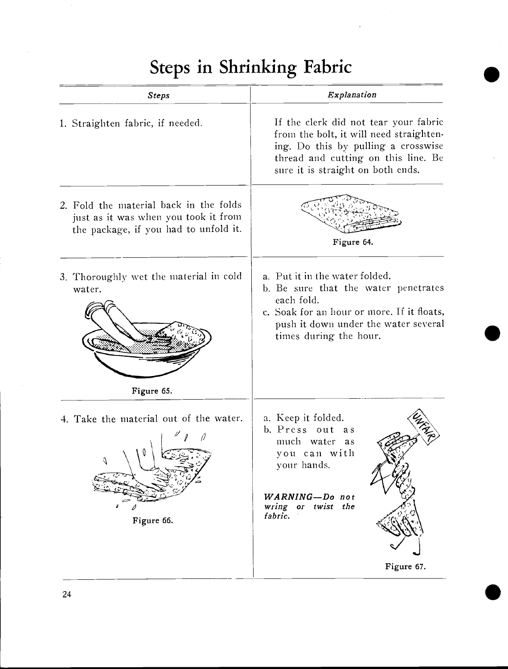# Steps in Shrinking Fabric

| Explanation                                                                                                                                                                                          |  |  |
|------------------------------------------------------------------------------------------------------------------------------------------------------------------------------------------------------|--|--|
| If the clerk did not tear your fabric<br>from the bolt, it will need straighten-<br>ing. Do this by pulling a crosswise<br>thread and cutting on this line. Be<br>sure it is straight on both ends.  |  |  |
| Figure 64.                                                                                                                                                                                           |  |  |
| a. Put it in the water folded.<br>b. Be sure that the water penetrates<br>each fold.<br>c. Soak for an hour or more. If it floats,<br>push it down under the water several<br>times during the hour. |  |  |
| a. Keep it folded.<br>b. Press out as<br>much water as<br>you can with<br>your hands.<br>WARNING-Do not<br>wring or twist the<br>fabric.                                                             |  |  |
|                                                                                                                                                                                                      |  |  |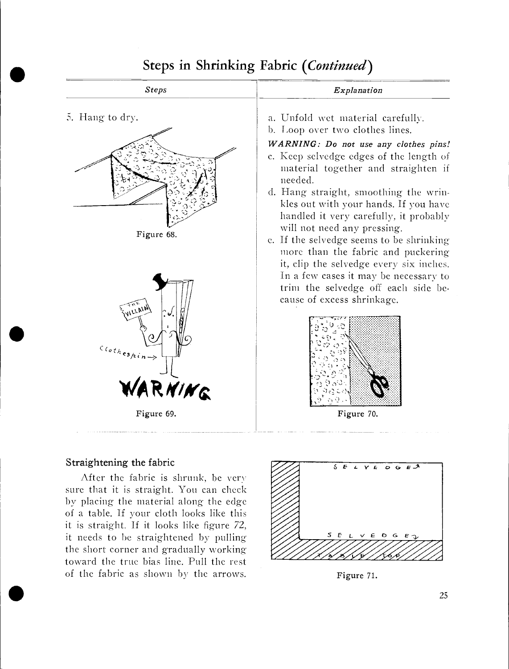

### Steps in Shrinking Fabric (Continued)

#### Straightening the fabric

After the fabric is shrunk, be very sure that it is straight. You can check by placing the material along the edge of a table. If your cloth looks like this it is straight. If it looks like figure 72, it needs to be straightened by pulling the short corner and gradually working toward the true bias line. Pull the rest of the fabric as shown by the arrows.



Figure 71.

25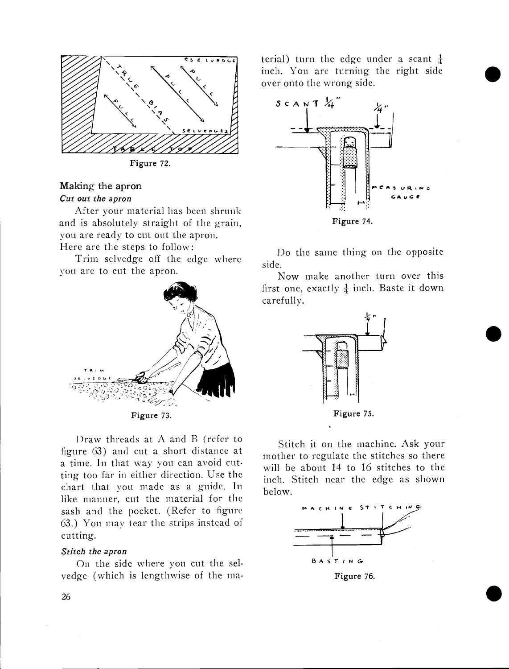

Figure 72.

#### Making the apron Cut out the apron

After your material has been shrunk and is absolutely straight of the grain, you are ready to cut out the apron. Here are the steps to follow:

Trim selvedge off the edge where you are to cut the apron.



Draw threads at  $A$  and  $B$  (refer to figure 63) and cut a short distance at a time. In that way you can avoid cutting too far in either direction. Use the chart that you made as a guide. In like manner, cut the material for the sash and the pocket. (Refer to figure 63.) You may tear the strips instead o cutting.

#### Stitch the apron

On the side where you cut the sd. vedge (which is lengthwise of the material) turn the edge under a scant  $\frac{1}{4}$ inch. You are turning the right side over onto the wrong side.



Do the same thing on the opposite side.

Now make another turn over this first one, exactly  $\frac{1}{4}$  inch. Baste it down carefully.



Stitch it on the machine. Ask your mother to regulate the stitches so there will be about 14 to 16 stitches to the inch. Stitch near the edge as shown below.



.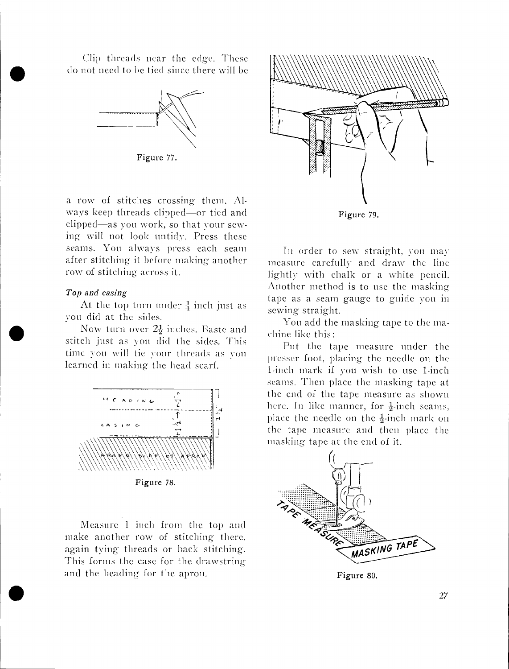do not need to be tied since there will be Clip threads near the edge. These



Figure 77.

a row of stitches crossing them. Always keep threads clipped—or tied and clipped—as you work, so that your sewing will not look untidy. Press these seams. You always press each seam after stitching it before making another row of stitching across it.

#### Top and casing

At the top turn under  $\frac{1}{4}$  inch just as von did at the sides.

Now turn over  $2\frac{1}{2}$  inches. Baste and stitch just as von did the sides. This time you will tie your threads as you learned in making the head scarf.



Figure 78.

Measure 1 inch from the top and  $\frac{1}{2\sqrt{2\pi}}$ make another row of stitching there, again tying threads or back stitching. This forms the case for the drawstring and the heading for the apron.



In order to sew straight, you may measure carefully and draw the line lightly with chalk or a white pencil. Another method is to use the masking tape as a seam gauge to guide von in sewing straight.

You add the masking tape to the machine like this:

Put the tape measure under the Presser foot, placing the needle on the 1-inch niark if von wish to use 1-inch seams. Then place the masking tape at the end of the tape measure as shown here. In like manner, for  $\frac{1}{2}$ -inch seams, place the needle on the  $\frac{1}{2}$ -inch mark on the tape measure and then place the masking tape at the end of it.



Figure 80.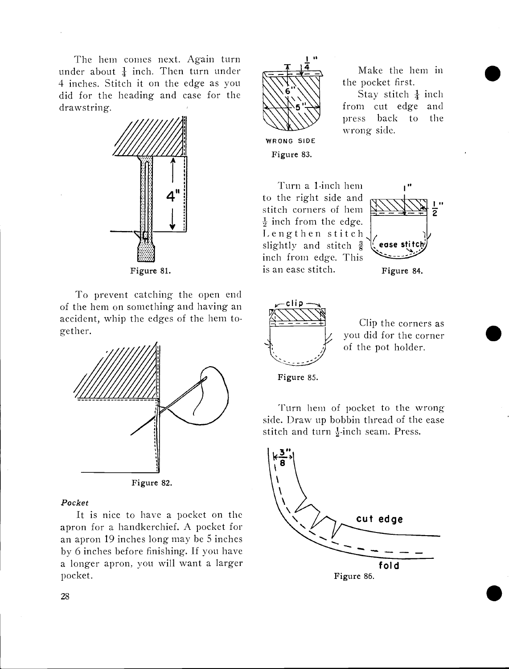The hem comes next. Again turn under about  $\frac{1}{4}$  inch. Then turn under 4 inches. Stitch it on the edge as you did for the heading and case for the drawstring.



Figure 81.

To prevent catching the open end of the hem on something and having an accident, whip the edges of the hem together.



Figure 82.

#### Pocket

It is nice to have a pocket on the apron for a handkerchief. A pocket for an apron 19 inches long may be 5 inches by 6 inches before finishing. If you have a longer apron, you will want a larger pocket.



WRONG SIDE Figure 83.

Turn a 1-inch hem to the right side and stitch corners of hem  $\frac{1}{2}$  inch from the edge.<br>Lengthen stitch slightly and stitch  $\frac{3}{8}$ inch from edge. This



Make the hem in

Stay stitch  $\frac{1}{4}$  inch from cut edge and press back to the

the pocket first.

wrong side.

Figure 84.



is an ease stitch.

Clip the corners as you did for the corner of the pot holder.

Figure 85.

Turn hem of pocket to the wrong side. Draw up bobbin thread of the ease stitch and turn  $\frac{1}{2}$ -inch seam. Press.

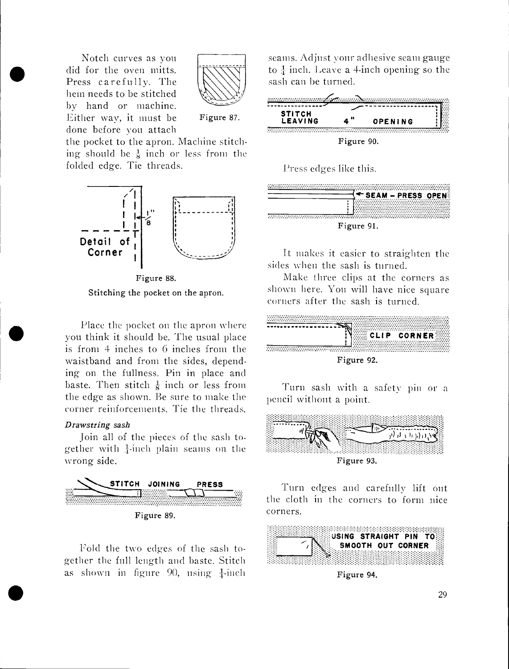did for the oven mitts. Notch curves as you did for the oven mitts. hem needs to be stitched by hand or machine. Either way, it must be done before you attach



Figure 87.

the pocket to the apron. Machine stitching should be  $\frac{1}{8}$  inch or less from the folded edge. Tie threads.



Figure 88. Stitching the pocket on the apron.

Place the pocket on the apron where you think it should be. The usual place is from 4 inches to 6 inches from the waistband and from the sides, depending on the fullness. Pin in place and baste. Then stitch  $\frac{1}{8}$  inch or less from the edge as shown. Be sure to make the corner reinforcements. Tie the threads.

#### Drawstring sash

**r** and the state of the state of the state of the state of the state of the state of the state of the state of the state of the state of the state of the state of the state of the state of the state of the state of the st

join all of the pieces of the sash together with  $\frac{1}{4}$ -inch plain seams on the wrong side.



Fold the two edges of the sash together the full length and haste. Stitch as shown in figure 90, using  $\frac{1}{4}$ -inch

urves as you<br>
oven mitts.<br>
Fully. The<br>
co be stitched<br>
or machine.<br>
Figure 87.<br>
Figure 87.<br> **EAVING 4" OPENING** seams. Adjust your adhesive seam gauge to  $\frac{1}{4}$  inch. Leave a 4-inch opening so the sash can he turned.



Figure 90.

Press edges like this.

|            | <b>SEAM - PRESS OPEN:</b> |  |
|------------|---------------------------|--|
| Figure 91. |                           |  |

It makes it easier to straighten the sides when the sash is turned.

Make three clips at the corners as shown here. You will have nice square corners after the sash is turned.



Figure 92.

Turn sash with a safety pin or a pencil without a point.



Turn edges and carefully lift out the cloth in the corners to form nice corners.



Figure 94.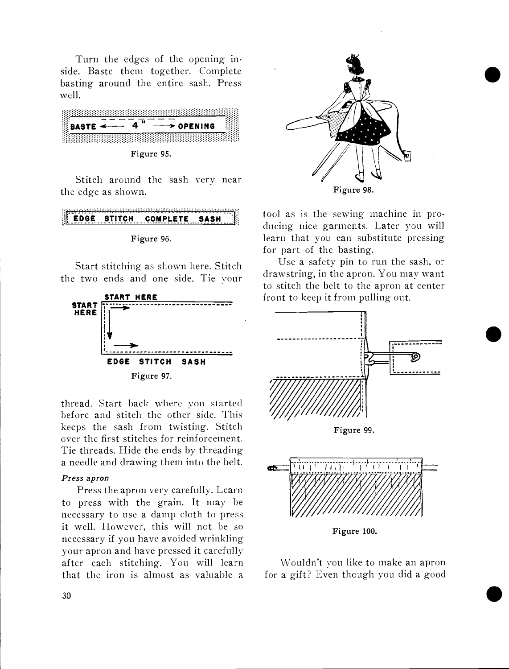Turn the edges of the opening inside. Baste them together. Complete basting around the entire sash. Press well.



Figure 95.

Stitch around the sash very near the edge as shown.

### rEDGE STITCH COMPLETE SASH



Start stitching as shown here. Stitch the two ends and one side. Tie your



thread. Start back where von started before and stitch the other side. This keeps the sash from twisting. Stitch over the first stitches for reinforcement. Tie threads. Hide the ends by threading a needle and drawing them into the belt.

#### Press apron

Press the apron very carefully. Learn to press with the grain. It may be necessary to use a damp cloth to press it well. However, this will not be so necessary if you have avoided wrinkling your apron and have pressed it carefully after each stitching. You will learn that the iron is almost as valuable a



tool as is the sewing machine in producing nice garments. Later you will learn that you can substitute pressing for part of the basting.

Use a safety pin to run the sash, or drawstring, in the apron. You may want to stitch the belt to the apron at center front to keep it from pulling out.

 $\bullet$ 



Wouldn't you like to make an apron for a gift? Even though you did a good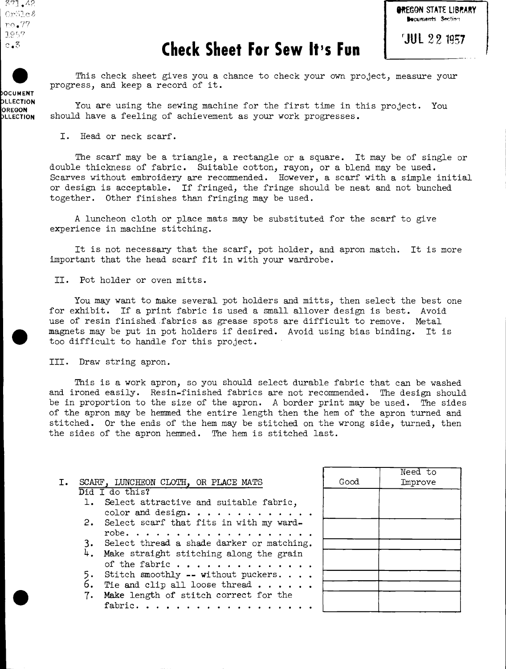$.777.42$  $Cr51c$  $\ell$ no.77 10 . 7  $c_{\bullet}3$ 



#### *<u>JUL 22 1957</u>*

### Check Sheet For Sew It's Fun

This check sheet gives you a chance to check your own project, measure your progress, and keep a record of it.

pLLECTION You are using the sewing machine for the first time in this project. You<br>OREGON should have a feeling of achievement as your work progresses. should have a feeling of achievement as your work progresses.

I. Head or neck scarf.

The scarf may be a triangle, a rectangle or a square. It may be of single or double thickness of fabric. Suitable cotton, rayon, or a blend may be used. Scarves without embroidery are recommended. However, a scarf with a simple initial or design is acceptable. If fringed, the fringe should be neat and not bunched together. Other finishes than fringing may be used.

A luncheon cloth or place mats may be substituted for the scarf to give experience in machine stitching.

It is not necessary that the scarf, pot holder, and apron match. It is more important that the head scarf fit in with your wardrobe.

#### II. Pot holder or oven mitts.

You may want to make several pot holders and mitts, then select the best one for exhibit. If a print fabric is used a small allover design is best. Avoid use of resin finished fabrics as grease spots are difficult to remove. Metal magnets may be put in pot holders if desired. Avoid using bias binding. It is too difficult to handle for this project.

#### III. Draw string apron.

This is a work apron, so you should select durable fabric that can be washed and ironed easily. Resin-finished fabrics are not recommended. The design should be in proportion to the size of the apron. A border print may be used. The sides of the apron may be hemmed the entire length then the hem of the apron turned and stitched. Or the ends of the hem may be stitched on the wrong side, turned, then the sides of the apron hemmed. The hem is stitched last.

|                |    |                                              |      | Need to |
|----------------|----|----------------------------------------------|------|---------|
| $\mathbf{I}$ . |    | SCARF, LUNCHEON CLOTH, OR PLACE MATS         | Good | Improve |
|                |    | Did I do this?                               |      |         |
|                |    | 1. Select attractive and suitable fabric,    |      |         |
|                |    | color and design.                            |      |         |
|                |    | 2. Select scarf that fits in with my ward-   |      |         |
|                |    |                                              |      |         |
|                |    | 3. Select thread a shade darker or matching. |      |         |
|                |    | 4. Make straight stitching along the grain   |      |         |
|                |    | of the fabric $\ldots$ ,                     |      |         |
|                |    | Stitch smoothly -- without puckers           |      |         |
|                | 6. | Tie and clip all loose thread $\ldots$ .     |      |         |
|                | 7. | Make length of stitch correct for the        |      |         |
|                |    | fabric.                                      |      |         |
|                |    |                                              |      |         |

**OCUMENT**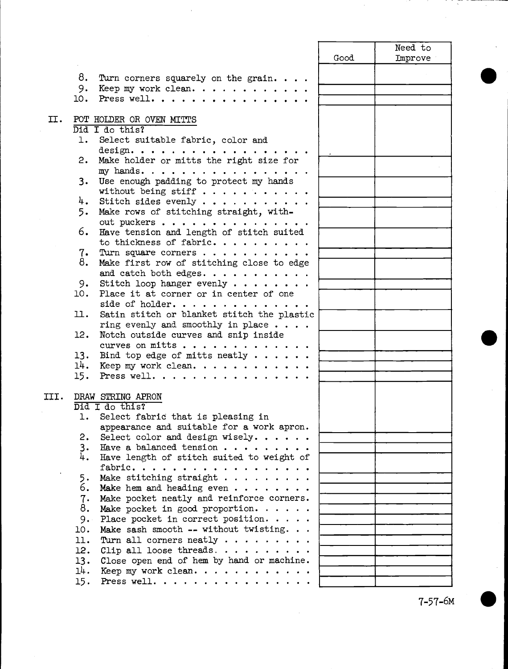|      |      |                                              |      | Need to |
|------|------|----------------------------------------------|------|---------|
|      |      |                                              | Good | Improve |
|      |      |                                              |      |         |
|      | 8.   | Turn corners squarely on the grain           |      |         |
|      | 9.   | Keep my work clean.                          |      |         |
|      | 10.  | Press well.                                  |      |         |
|      |      |                                              |      |         |
| II.  |      | POT HOLDER OR OVEN MITTS                     |      |         |
|      |      | Did I do this?                               |      |         |
|      | ı.   | Select suitable fabric, color and            |      |         |
|      |      | design. $\cdots$                             |      |         |
|      | 2.   | Make holder or mitts the right size for      |      |         |
|      |      | my hands.                                    |      |         |
|      | 3.   | Use enough padding to protect my hands       |      |         |
|      |      | without being stiff                          |      |         |
|      |      | 4. Stitch sides evenly                       |      |         |
|      | 5.   | Make rows of stitching straight, with-       |      |         |
|      |      | out puckers                                  |      |         |
|      | 6.   | Have tension and length of stitch suited     |      |         |
|      |      | to thickness of fabric.                      |      |         |
|      |      | 7. Turn square corners                       |      |         |
|      | 8.   | Make first row of stitching close to edge    |      |         |
|      |      | and catch both edges. $\cdots$               |      |         |
|      | 9.   | Stitch loop hanger evenly $\cdots$           |      |         |
|      | 10.  | Place it at corner or in center of one       |      |         |
|      |      | side of holder.                              |      |         |
|      | 11.  | Satin stitch or blanket stitch the plastic   |      |         |
|      |      | ring evenly and smoothly in place $\ldots$ . |      |         |
|      | 12.  | Notch outside curves and snip inside         |      |         |
|      |      | curves on mitts                              |      |         |
|      | 13.  | Bind top edge of mitts neatly $\cdots$ .     |      |         |
|      |      | $14.$ Keep my work clean.                    |      |         |
|      | 15.  | Press well.                                  |      |         |
|      |      |                                              |      |         |
| III. |      | DRAW STRING APRON                            |      |         |
|      |      | Did I do this?                               |      |         |
|      | 1. . | Select fabric that is pleasing in            |      |         |
|      |      | appearance and suitable for a work apron.    |      |         |
|      | 2.   | Select color and design wisely.              |      |         |
|      | 3.   | Have a balanced tension $\cdots$ ,           |      |         |
|      | 4.   | Have length of stitch suited to weight of    |      |         |
|      |      | fabric.                                      |      |         |
|      | 5.   | Make stitching straight                      |      |         |
|      | 6.   | Make hem and heading even $\cdots$           |      |         |
|      | 7.   | Make pocket neatly and reinforce corners.    |      |         |
|      | 8.   | Make pocket in good proportion. $\cdots$ .   |      |         |
|      | 9.   | Place pocket in correct position.            |      |         |
|      | 10.  | Make sash smooth -- without twisting.        |      |         |
|      | 11.  |                                              |      |         |
|      |      | Turn all corners neatly $\cdots$             |      |         |
|      | 12.  | Clip all loose threads. $\cdots$             |      |         |
|      | 13.  | Close open end of hem by hand or machine.    |      |         |
|      | 14.  | Keep my work clean.                          |      |         |
|      | 15.  | Press well. $\ldots$                         |      |         |

 $7 - 57 - 6M$ 

 $\bullet$   $\vert$